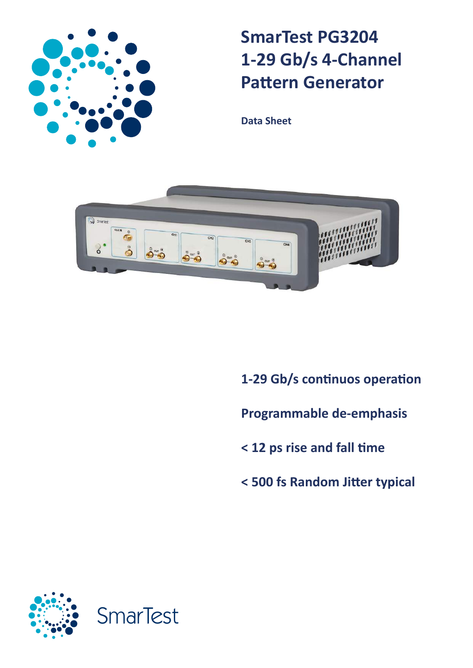

# **SmarTest PG3204 1-29 Gb/s 4-Channel Pattern Generator**

**Data Sheet**



**1-29 Gb/s continuos operation**

**Programmable de-emphasis** 

- **< 12 ps rise and fall time**
- **< 500 fs Random Jitter typical**

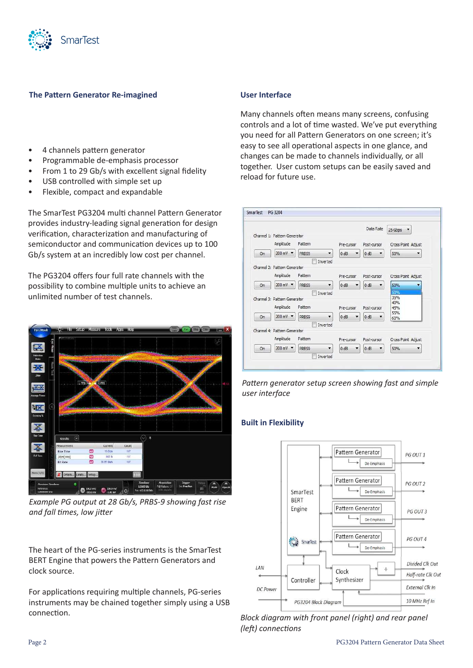

# **The Pattern Generator Re-imagined**

- 4 channels pattern generator
- Programmable de-emphasis processor
- From 1 to 29 Gb/s with excellent signal fidelity
- USB controlled with simple set up
- Flexible, compact and expandable

The SmarTest PG3204 multi channel Pattern Generator provides industry-leading signal generation for design verification, characterization and manufacturing of semiconductor and communication devices up to 100 Gb/s system at an incredibly low cost per channel.

The PG3204 offers four full rate channels with the possibility to combine multiple units to achieve an unlimited number of test channels.



*Example PG output at 28 Gb/s, PRBS-9 showing fast rise and fall times, low jitter*

The heart of the PG-series instruments is the SmarTest BERT Engine that powers the Pattern Generators and clock source.

For applications requiring multiple channels, PG-series instruments may be chained together simply using a USB connection.

## **User Interface**

Many channels often means many screens, confusing controls and a lot of time wasted. We've put everything you need for all Pattern Generators on one screen; it's easy to see all operational aspects in one glance, and changes can be made to channels individually, or all together. User custom setups can be easily saved and reload for future use.

|    |                                       |                                   |            | Data Rate   | 25 Gbps<br>۰       |
|----|---------------------------------------|-----------------------------------|------------|-------------|--------------------|
|    | Channel 1: Pattern Generator          |                                   |            |             |                    |
|    | Amplitude                             | Pattern                           | Pre-cursor | Post-cursor | Cross Point Adjust |
| On | 200 mV -                              | PRBS9<br>۰                        | 0 dB       | $0$ dB      | 50%                |
|    |                                       | Inverted                          |            |             |                    |
|    | Channel 2: Pattern Generator          |                                   |            |             |                    |
|    | Amplitude                             | Pattern                           | Pre-cursor | Post-cursor | Cross Point Adjust |
| On | 200 mV -                              | PRBS9<br>۰                        | 0 dB       | 0 dB        | 50%                |
|    |                                       | Inverted                          |            |             | 50%                |
|    | Channel 3: Pattern Generator          |                                   |            |             | 35%<br>40%         |
|    | Amplitude                             | Pattern                           | Pre-cursor | Post-cursor | 45%                |
| On | 200 mV $\blacktriangledown$           | PRBS9<br>$\blacktriangledown$     | 0 dB       | 0 dB<br>▼   | 55%<br>60%         |
|    |                                       | Inverted                          |            |             |                    |
|    | Channel 4: Pattern Generator          |                                   |            |             |                    |
|    | Amplitude                             | Pattern                           | Pre-cursor | Post-cursor | Cross Point Adjust |
| On | $200 \text{ mV}$ $\blacktriangledown$ | PRBS9<br>$\overline{\phantom{a}}$ | 0 dB       | 0 dB<br>₹.  | 50%                |
|    |                                       | Inverted                          |            |             |                    |

*Pattern generator setup screen showing fast and simple user interface* 

# **Built in Flexibility**



*Block diagram with front panel (right) and rear panel (left) connections*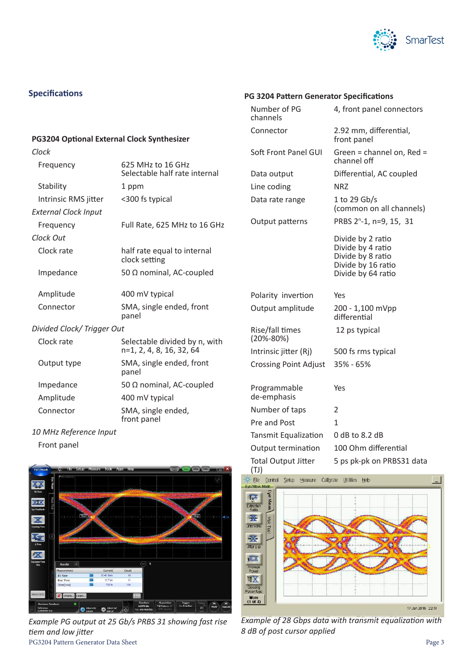

# **Specifications**

## **PG3204 Optional External Clock Synthesizer**

| Clock                       |                                                           |  |
|-----------------------------|-----------------------------------------------------------|--|
| Frequency                   | 625 MHz to 16 GHz<br>Selectable half rate internal        |  |
| Stability                   | 1 ppm                                                     |  |
| Intrinsic RMS jitter        | <300 fs typical                                           |  |
| <b>External Clock Input</b> |                                                           |  |
| Frequency                   | Full Rate, 625 MHz to 16 GHz                              |  |
| Clock Out                   |                                                           |  |
| Clock rate                  | half rate equal to internal<br>clock setting              |  |
| Impedance                   | 50 $\Omega$ nominal, AC-coupled                           |  |
| Amplitude                   | 400 mV typical                                            |  |
| Connector                   | SMA, single ended, front<br>panel                         |  |
| Divided Clock/Trigger Out   |                                                           |  |
| Clock rate                  | Selectable divided by n, with<br>n=1, 2, 4, 8, 16, 32, 64 |  |
| Output type                 | SMA, single ended, front<br>panel                         |  |
| Impedance                   | 50 $\Omega$ nominal, AC-coupled                           |  |
| Amplitude                   | 400 mV typical                                            |  |
| Connector                   | SMA, single ended,<br>front panel                         |  |

*10 MHz Reference Input*

Front panel



PG3204 Pattern Generator Data Sheet Page 3 *Example PG output at 25 Gb/s PRBS 31 showing fast rise tiem and low jitter*

# **PG 3204 Pattern Generator Specifications**

| Number of PG<br>channels           | 4, front panel connectors                                                                               |  |
|------------------------------------|---------------------------------------------------------------------------------------------------------|--|
| Connector                          | 2.92 mm, differential,<br>front panel                                                                   |  |
| Soft Front Panel GUI               | Green = channel on, Red =<br>channel off                                                                |  |
| Data output                        | Differential, AC coupled                                                                                |  |
| Line coding                        | <b>NRZ</b>                                                                                              |  |
| Data rate range                    | 1 to 29 Gb/s<br>(common on all channels)                                                                |  |
| Output patterns                    | PRBS 2 <sup>n</sup> -1, n=9, 15, 31                                                                     |  |
|                                    | Divide by 2 ratio<br>Divide by 4 ratio<br>Divide by 8 ratio<br>Divide by 16 ratio<br>Divide by 64 ratio |  |
| Polarity invertion                 | Yes                                                                                                     |  |
| Output amplitude                   | 200 - 1,100 mVpp<br>differential                                                                        |  |
| Rise/fall times<br>$(20\% - 80\%)$ | 12 ps typical                                                                                           |  |
| Intrinsic jitter (Rj)              | 500 fs rms typical                                                                                      |  |
| <b>Crossing Point Adjust</b>       | 35% - 65%                                                                                               |  |
| Programmable<br>de-emphasis        | Yes                                                                                                     |  |
| Number of taps                     | $\overline{2}$                                                                                          |  |
| Pre and Post                       | 1                                                                                                       |  |
| Tansmit Equalization               | $0$ dB to 8.2 dB                                                                                        |  |
| Output termination                 | 100 Ohm differential                                                                                    |  |
| <b>Total Output Jitter</b>         | 5 ps pk-pk on PRBS31 data                                                                               |  |



*Example of 28 Gbps data with transmit equalization with 8 dB of post cursor applied*